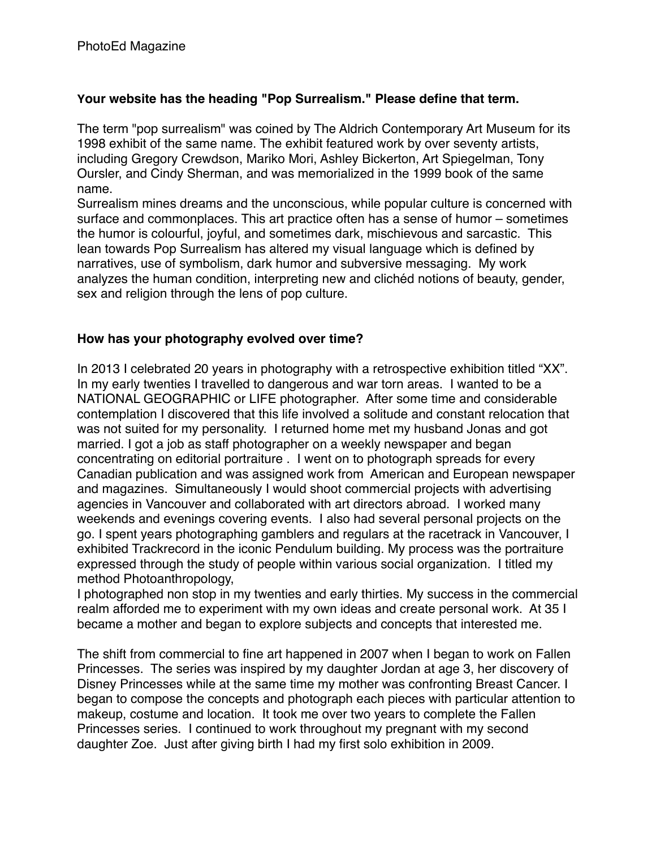## **Your website has the heading "Pop Surrealism." Please define that term.**

The term "pop surrealism" was coined by The Aldrich Contemporary Art Museum for its 1998 exhibit of the same name. The exhibit featured work by over seventy artists, including Gregory Crewdson, Mariko Mori, Ashley Bickerton, Art Spiegelman, Tony Oursler, and Cindy Sherman, and was memorialized in the 1999 book of the same name.

Surrealism mines dreams and the unconscious, while popular culture is concerned with surface and commonplaces. This art practice often has a sense of humor – sometimes the humor is colourful, joyful, and sometimes dark, mischievous and sarcastic. This lean towards Pop Surrealism has altered my visual language which is defined by narratives, use of symbolism, dark humor and subversive messaging. My work analyzes the human condition, interpreting new and clichéd notions of beauty, gender, sex and religion through the lens of pop culture.

# **How has your photography evolved over time?**

In 2013 I celebrated 20 years in photography with a retrospective exhibition titled "XX". In my early twenties I travelled to dangerous and war torn areas. I wanted to be a NATIONAL GEOGRAPHIC or LIFE photographer. After some time and considerable contemplation I discovered that this life involved a solitude and constant relocation that was not suited for my personality. I returned home met my husband Jonas and got married. I got a job as staff photographer on a weekly newspaper and began concentrating on editorial portraiture . I went on to photograph spreads for every Canadian publication and was assigned work from American and European newspaper and magazines. Simultaneously I would shoot commercial projects with advertising agencies in Vancouver and collaborated with art directors abroad. I worked many weekends and evenings covering events. I also had several personal projects on the go. I spent years photographing gamblers and regulars at the racetrack in Vancouver, I exhibited Trackrecord in the iconic Pendulum building. My process was the portraiture expressed through the study of people within various social organization. I titled my method Photoanthropology,

I photographed non stop in my twenties and early thirties. My success in the commercial realm afforded me to experiment with my own ideas and create personal work. At 35 I became a mother and began to explore subjects and concepts that interested me.

The shift from commercial to fine art happened in 2007 when I began to work on Fallen Princesses. The series was inspired by my daughter Jordan at age 3, her discovery of Disney Princesses while at the same time my mother was confronting Breast Cancer. I began to compose the concepts and photograph each pieces with particular attention to makeup, costume and location. It took me over two years to complete the Fallen Princesses series. I continued to work throughout my pregnant with my second daughter Zoe. Just after giving birth I had my first solo exhibition in 2009.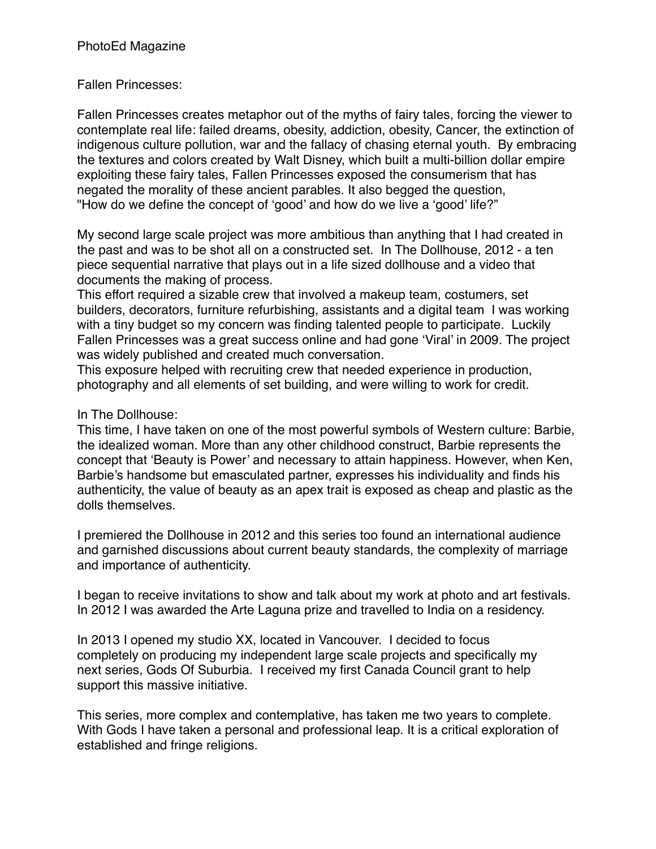## PhotoEd Magazine

### Fallen Princesses:

Fallen Princesses creates metaphor out of the myths of fairy tales, forcing the viewer to contemplate real life: failed dreams, obesity, addiction, obesity, Cancer, the extinction of indigenous culture pollution, war and the fallacy of chasing eternal youth. By embracing the textures and colors created by Walt Disney, which built a multi-billion dollar empire exploiting these fairy tales, Fallen Princesses exposed the consumerism that has negated the morality of these ancient parables. It also begged the question, "How do we define the concept of 'good' and how do we live a 'good' life?"

My second large scale project was more ambitious than anything that I had created in the past and was to be shot all on a constructed set. In The Dollhouse, 2012 - a ten piece sequential narrative that plays out in a life sized dollhouse and a video that documents the making of process.

This effort required a sizable crew that involved a makeup team, costumers, set builders, decorators, furniture refurbishing, assistants and a digital team I was working with a tiny budget so my concern was finding talented people to participate. Luckily Fallen Princesses was a great success online and had gone 'Viral' in 2009. The project was widely published and created much conversation.

This exposure helped with recruiting crew that needed experience in production, photography and all elements of set building, and were willing to work for credit.

#### In The Dollhouse:

This time, I have taken on one of the most powerful symbols of Western culture: Barbie, the idealized woman. More than any other childhood construct, Barbie represents the concept that 'Beauty is Power' and necessary to attain happiness. However, when Ken, Barbie's handsome but emasculated partner, expresses his individuality and finds his authenticity, the value of beauty as an apex trait is exposed as cheap and plastic as the dolls themselves.

I premiered the Dollhouse in 2012 and this series too found an international audience and garnished discussions about current beauty standards, the complexity of marriage and importance of authenticity.

I began to receive invitations to show and talk about my work at photo and art festivals. In 2012 I was awarded the Arte Laguna prize and travelled to India on a residency.

In 2013 I opened my studio XX, located in Vancouver. I decided to focus completely on producing my independent large scale projects and specifically my next series, Gods Of Suburbia. I received my first Canada Council grant to help support this massive initiative.

This series, more complex and contemplative, has taken me two years to complete. With Gods I have taken a personal and professional leap. It is a critical exploration of established and fringe religions.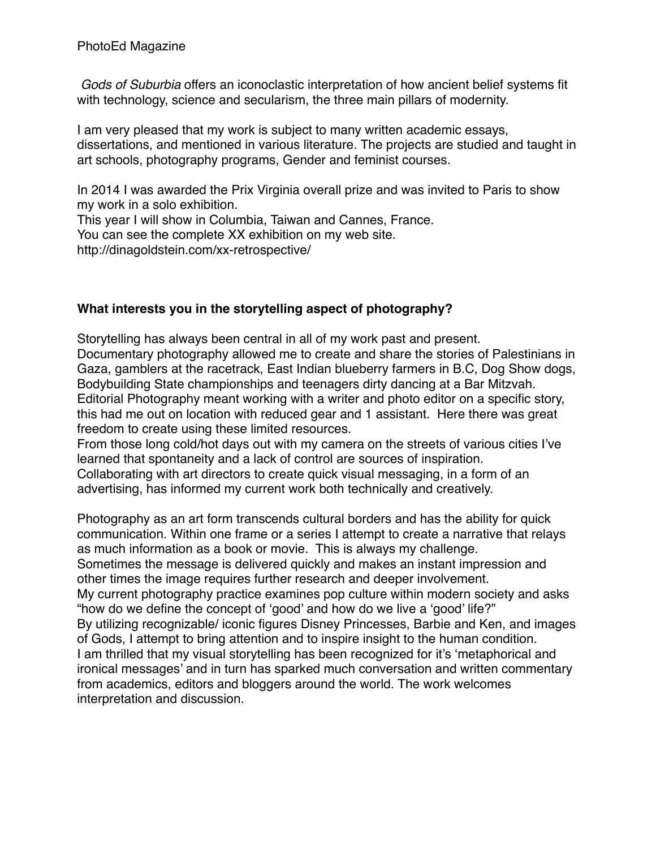*Gods of Suburbia* offers an iconoclastic interpretation of how ancient belief systems fit with technology, science and secularism, the three main pillars of modernity.

I am very pleased that my work is subject to many written academic essays, dissertations, and mentioned in various literature. The projects are studied and taught in art schools, photography programs, Gender and feminist courses.

In 2014 I was awarded the Prix Virginia overall prize and was invited to Paris to show my work in a solo exhibition.

This year I will show in Columbia, Taiwan and Cannes, France. You can see the complete XX exhibition on my web site. http://dinagoldstein.com/xx-retrospective/

# **What interests you in the storytelling aspect of photography?**

Storytelling has always been central in all of my work past and present. Documentary photography allowed me to create and share the stories of Palestinians in Gaza, gamblers at the racetrack, East Indian blueberry farmers in B.C, Dog Show dogs, Bodybuilding State championships and teenagers dirty dancing at a Bar Mitzvah. Editorial Photography meant working with a writer and photo editor on a specific story, this had me out on location with reduced gear and 1 assistant. Here there was great freedom to create using these limited resources.

From those long cold/hot days out with my camera on the streets of various cities I've learned that spontaneity and a lack of control are sources of inspiration.

Collaborating with art directors to create quick visual messaging, in a form of an advertising, has informed my current work both technically and creatively.

Photography as an art form transcends cultural borders and has the ability for quick communication. Within one frame or a series I attempt to create a narrative that relays as much information as a book or movie. This is always my challenge.

Sometimes the message is delivered quickly and makes an instant impression and other times the image requires further research and deeper involvement.

My current photography practice examines pop culture within modern society and asks "how do we define the concept of 'good' and how do we live a 'good' life?"

By utilizing recognizable/ iconic figures Disney Princesses, Barbie and Ken, and images of Gods, I attempt to bring attention and to inspire insight to the human condition. I am thrilled that my visual storytelling has been recognized for it's 'metaphorical and ironical messages' and in turn has sparked much conversation and written commentary from academics, editors and bloggers around the world. The work welcomes interpretation and discussion.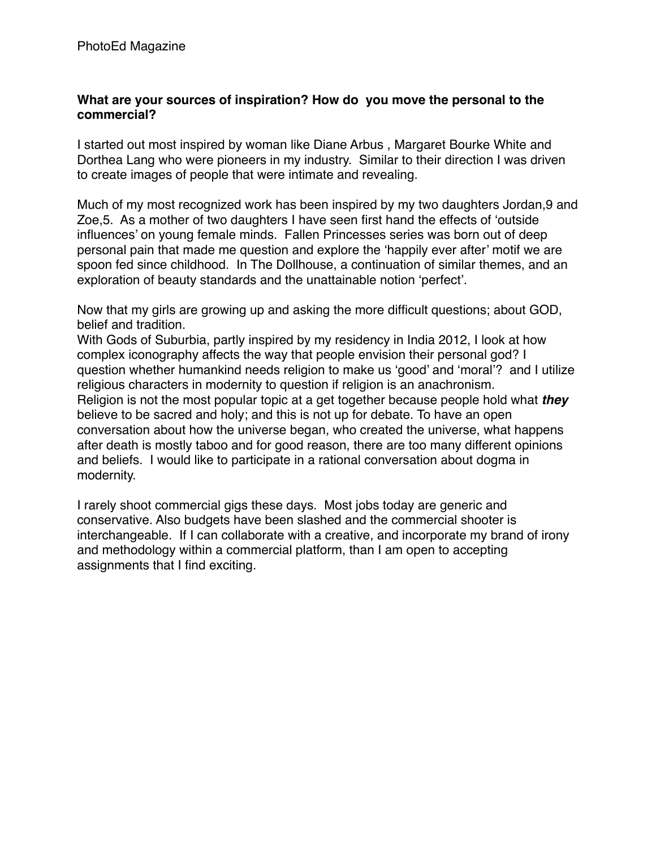### **What are your sources of inspiration? How do you move the personal to the commercial?**

I started out most inspired by woman like Diane Arbus , Margaret Bourke White and Dorthea Lang who were pioneers in my industry. Similar to their direction I was driven to create images of people that were intimate and revealing.

Much of my most recognized work has been inspired by my two daughters Jordan,9 and Zoe,5. As a mother of two daughters I have seen first hand the effects of 'outside influences' on young female minds. Fallen Princesses series was born out of deep personal pain that made me question and explore the 'happily ever after' motif we are spoon fed since childhood. In The Dollhouse, a continuation of similar themes, and an exploration of beauty standards and the unattainable notion 'perfect'.

Now that my girls are growing up and asking the more difficult questions; about GOD, belief and tradition.

With Gods of Suburbia, partly inspired by my residency in India 2012, I look at how complex iconography affects the way that people envision their personal god? I question whether humankind needs religion to make us 'good' and 'moral'? and I utilize religious characters in modernity to question if religion is an anachronism. Religion is not the most popular topic at a get together because people hold what *they*  believe to be sacred and holy; and this is not up for debate. To have an open conversation about how the universe began, who created the universe, what happens after death is mostly taboo and for good reason, there are too many different opinions and beliefs. I would like to participate in a rational conversation about dogma in modernity.

I rarely shoot commercial gigs these days. Most jobs today are generic and conservative. Also budgets have been slashed and the commercial shooter is interchangeable. If I can collaborate with a creative, and incorporate my brand of irony and methodology within a commercial platform, than I am open to accepting assignments that I find exciting.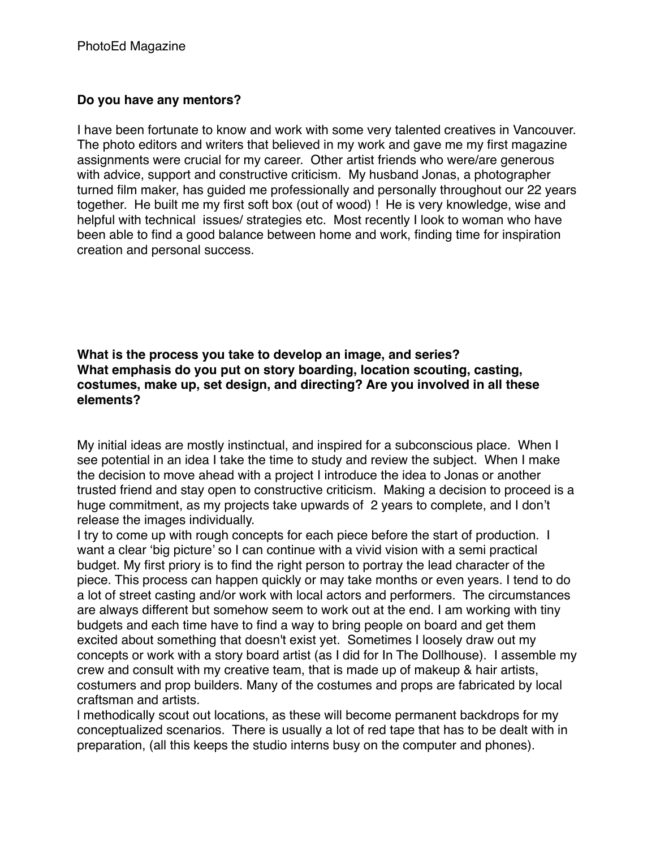# **Do you have any mentors?**

I have been fortunate to know and work with some very talented creatives in Vancouver. The photo editors and writers that believed in my work and gave me my first magazine assignments were crucial for my career. Other artist friends who were/are generous with advice, support and constructive criticism. My husband Jonas, a photographer turned film maker, has guided me professionally and personally throughout our 22 years together. He built me my first soft box (out of wood) ! He is very knowledge, wise and helpful with technical issues/ strategies etc. Most recently I look to woman who have been able to find a good balance between home and work, finding time for inspiration creation and personal success.

**What is the process you take to develop an image, and series? What emphasis do you put on story boarding, location scouting, casting, costumes, make up, set design, and directing? Are you involved in all these elements?**

My initial ideas are mostly instinctual, and inspired for a subconscious place. When I see potential in an idea I take the time to study and review the subject. When I make the decision to move ahead with a project I introduce the idea to Jonas or another trusted friend and stay open to constructive criticism. Making a decision to proceed is a huge commitment, as my projects take upwards of 2 years to complete, and I don't release the images individually.

I try to come up with rough concepts for each piece before the start of production. I want a clear 'big picture' so I can continue with a vivid vision with a semi practical budget. My first priory is to find the right person to portray the lead character of the piece. This process can happen quickly or may take months or even years. I tend to do a lot of street casting and/or work with local actors and performers. The circumstances are always different but somehow seem to work out at the end. I am working with tiny budgets and each time have to find a way to bring people on board and get them excited about something that doesn't exist yet. Sometimes I loosely draw out my concepts or work with a story board artist (as I did for In The Dollhouse). I assemble my crew and consult with my creative team, that is made up of makeup & hair artists, costumers and prop builders. Many of the costumes and props are fabricated by local craftsman and artists.

l methodically scout out locations, as these will become permanent backdrops for my conceptualized scenarios. There is usually a lot of red tape that has to be dealt with in preparation, (all this keeps the studio interns busy on the computer and phones).